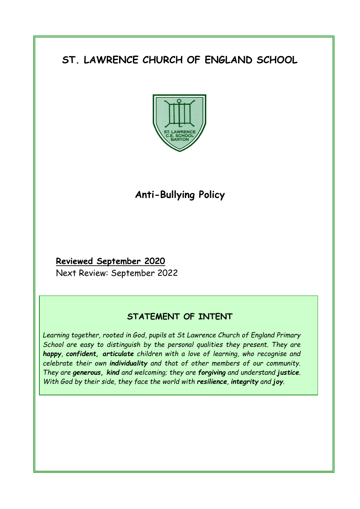# **ST. LAWRENCE CHURCH OF ENGLAND SCHOOL**



## **Anti-Bullying Policy**

## **Reviewed September 2020**

Next Review: September 2022

## **STATEMENT OF INTENT**

*Learning together, rooted in God, pupils at St Lawrence Church of England Primary School are easy to distinguish by the personal qualities they present. They are happy, confident, articulate children with a love of learning, who recognise and celebrate their own individuality and that of other members of our community. They are generous, kind and welcoming; they are forgiving and understand justice. With God by their side, they face the world with resilience, integrity and joy.*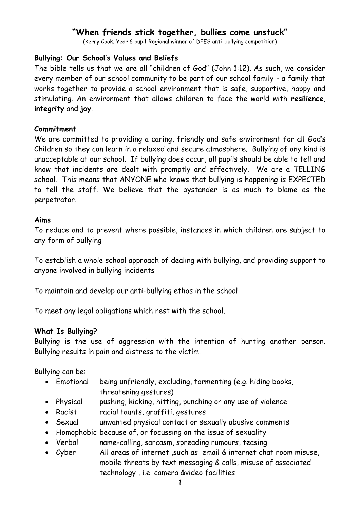## **"When friends stick together, bullies come unstuck"**

(Kerry Cook, Year 6 pupil-Regional winner of DFES anti-bullying competition)

#### **Bullying: Our School's Values and Beliefs**

The bible tells us that we are all "children of God" (John 1:12). As such, we consider every member of our school community to be part of our school family - a family that works together to provide a school environment that is safe, supportive, happy and stimulating. An environment that allows children to face the world with **resilience**, **integrity** and **joy**.

#### **Commitment**

We are committed to providing a caring, friendly and safe environment for all God's Children so they can learn in a relaxed and secure atmosphere. Bullying of any kind is unacceptable at our school. If bullying does occur, all pupils should be able to tell and know that incidents are dealt with promptly and effectively. We are a TELLING school. This means that ANYONE who knows that bullying is happening is EXPECTED to tell the staff. We believe that the bystander is as much to blame as the perpetrator.

#### **Aims**

To reduce and to prevent where possible, instances in which children are subject to any form of bullying

To establish a whole school approach of dealing with bullying, and providing support to anyone involved in bullying incidents

To maintain and develop our anti-bullying ethos in the school

To meet any legal obligations which rest with the school.

#### **What Is Bullying?**

Bullying is the use of aggression with the intention of hurting another person. Bullying results in pain and distress to the victim.

Bullying can be:

- Emotional being unfriendly, excluding, tormenting (e.g. hiding books, threatening gestures)
- Physical pushing, kicking, hitting, punching or any use of violence
- Racist racial taunts, graffiti, gestures
- Sexual unwanted physical contact or sexually abusive comments
- Homophobic because of, or focussing on the issue of sexuality
- Verbal name-calling, sarcasm, spreading rumours, teasing
- Cyber All areas of internet ,such as email & internet chat room misuse, mobile threats by text messaging & calls, misuse of associated technology , i.e. camera &video facilities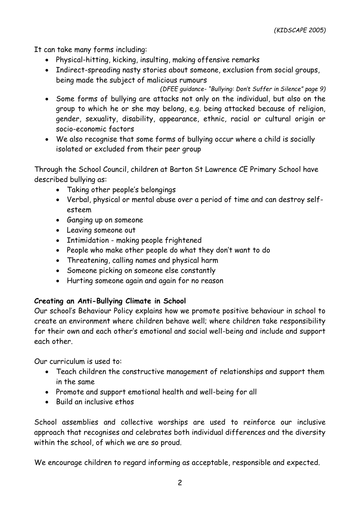It can take many forms including:

- Physical-hitting, kicking, insulting, making offensive remarks
- Indirect-spreading nasty stories about someone, exclusion from social groups, being made the subject of malicious rumours
- *(DFEE guidance- "Bullying: Don't Suffer in Silence" page 9)* Some forms of bullying are attacks not only on the individual, but also on the group to which he or she may belong, e.g. being attacked because of religion, gender, sexuality, disability, appearance, ethnic, racial or cultural origin or socio-economic factors
- We also recognise that some forms of bullying occur where a child is socially isolated or excluded from their peer group

Through the School Council, children at Barton St Lawrence CE Primary School have described bullying as:

- Taking other people's belongings
- Verbal, physical or mental abuse over a period of time and can destroy selfesteem
- Ganging up on someone
- Leaving someone out
- Intimidation making people frightened
- People who make other people do what they don't want to do
- Threatening, calling names and physical harm
- Someone picking on someone else constantly
- Hurting someone again and again for no reason

## **Creating an Anti-Bullying Climate in School**

Our school's Behaviour Policy explains how we promote positive behaviour in school to create an environment where children behave well; where children take responsibility for their own and each other's emotional and social well-being and include and support each other.

Our curriculum is used to:

- Teach children the constructive management of relationships and support them in the same
- Promote and support emotional health and well-being for all
- Build an inclusive ethos

School assemblies and collective worships are used to reinforce our inclusive approach that recognises and celebrates both individual differences and the diversity within the school, of which we are so proud.

We encourage children to regard informing as acceptable, responsible and expected.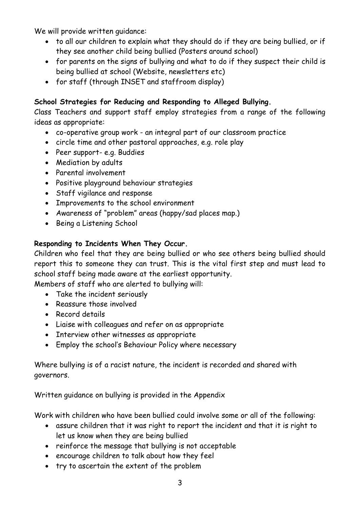We will provide written quidance:

- to all our children to explain what they should do if they are being bullied, or if they see another child being bullied (Posters around school)
- for parents on the signs of bullying and what to do if they suspect their child is being bullied at school (Website, newsletters etc)
- for staff (through INSET and staffroom display)

## **School Strategies for Reducing and Responding to Alleged Bullying.**

Class Teachers and support staff employ strategies from a range of the following ideas as appropriate:

- co-operative group work an integral part of our classroom practice
- circle time and other pastoral approaches, e.g. role play
- Peer support- e.g. Buddies
- Mediation by adults
- Parental involvement
- Positive playground behaviour strategies
- Staff vigilance and response
- Improvements to the school environment
- Awareness of "problem" areas (happy/sad places map.)
- Being a Listening School

## **Responding to Incidents When They Occur.**

Children who feel that they are being bullied or who see others being bullied should report this to someone they can trust. This is the vital first step and must lead to school staff being made aware at the earliest opportunity.

Members of staff who are alerted to bullying will:

- Take the incident seriously
- Reassure those involved
- Record details
- Liaise with colleagues and refer on as appropriate
- Interview other witnesses as appropriate
- Employ the school's Behaviour Policy where necessary

Where bullying is of a racist nature, the incident is recorded and shared with governors.

Written guidance on bullying is provided in the Appendix

Work with children who have been bullied could involve some or all of the following:

- assure children that it was right to report the incident and that it is right to let us know when they are being bullied
- reinforce the message that bullying is not acceptable
- encourage children to talk about how they feel
- try to ascertain the extent of the problem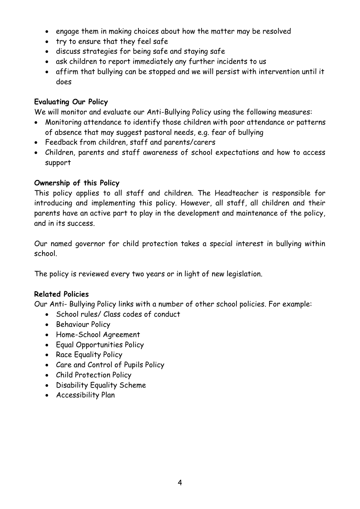- engage them in making choices about how the matter may be resolved
- try to ensure that they feel safe
- discuss strategies for being safe and staying safe
- ask children to report immediately any further incidents to us
- affirm that bullying can be stopped and we will persist with intervention until it does

#### **Evaluating Our Policy**

We will monitor and evaluate our Anti-Bullying Policy using the following measures:

- Monitoring attendance to identify those children with poor attendance or patterns of absence that may suggest pastoral needs, e.g. fear of bullying
- Feedback from children, staff and parents/carers
- Children, parents and staff awareness of school expectations and how to access support

## **Ownership of this Policy**

This policy applies to all staff and children. The Headteacher is responsible for introducing and implementing this policy. However, all staff, all children and their parents have an active part to play in the development and maintenance of the policy, and in its success.

Our named governor for child protection takes a special interest in bullying within school.

The policy is reviewed every two years or in light of new legislation.

## **Related Policies**

Our Anti- Bullying Policy links with a number of other school policies. For example:

- School rules/ Class codes of conduct
- Behaviour Policy
- Home-School Agreement
- Equal Opportunities Policy
- Race Equality Policy
- Care and Control of Pupils Policy
- Child Protection Policy
- Disability Equality Scheme
- Accessibility Plan